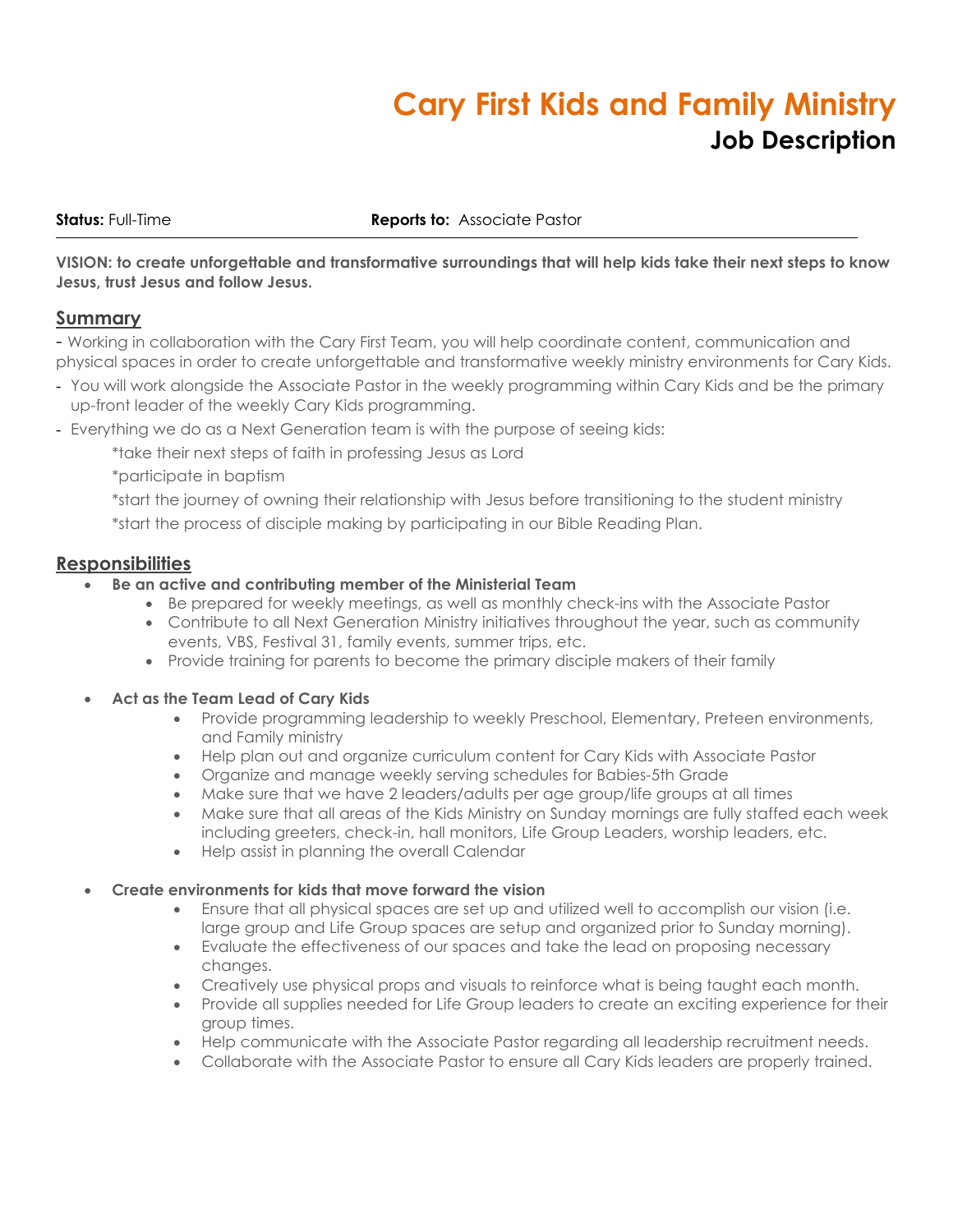# **Cary First Kids and Family Ministry Job Description**

#### **Status:** Full-Time **Reports to:** Associate Pastor

VISION: to create unforgettable and transformative surroundings that will help kids take their next steps to know **Jesus, trust Jesus and follow Jesus.**

## **Summary**

- Working in collaboration with the Cary First Team, you will help coordinate content, communication and physical spaces in order to create unforgettable and transformative weekly ministry environments for Cary Kids.

- You will work alongside the Associate Pastor in the weekly programming within Cary Kids and be the primary up-front leader of the weekly Cary Kids programming.
- Everything we do as a Next Generation team is with the purpose of seeing kids:

\*take their next steps of faith in professing Jesus as Lord

\*participate in baptism

\*start the journey of owning their relationship with Jesus before transitioning to the student ministry

\*start the process of disciple making by participating in our Bible Reading Plan.

## **Responsibilities**

- **Be an active and contributing member of the Ministerial Team**
	- Be prepared for weekly meetings, as well as monthly check-ins with the Associate Pastor
	- Contribute to all Next Generation Ministry initiatives throughout the year, such as community events, VBS, Festival 31, family events, summer trips, etc.
	- Provide training for parents to become the primary disciple makers of their family

#### • **Act as the Team Lead of Cary Kids**

- Provide programming leadership to weekly Preschool, Elementary, Preteen environments, and Family ministry
- Help plan out and organize curriculum content for Cary Kids with Associate Pastor
- Organize and manage weekly serving schedules for Babies-5th Grade
- Make sure that we have 2 leaders/adults per age group/life groups at all times
- Make sure that all areas of the Kids Ministry on Sunday mornings are fully staffed each week including greeters, check-in, hall monitors, Life Group Leaders, worship leaders, etc.
- Help assist in planning the overall Calendar

### • **Create environments for kids that move forward the vision**

- Ensure that all physical spaces are set up and utilized well to accomplish our vision (i.e. large group and Life Group spaces are setup and organized prior to Sunday morning).
- Evaluate the effectiveness of our spaces and take the lead on proposing necessary changes.
- Creatively use physical props and visuals to reinforce what is being taught each month.
- Provide all supplies needed for Life Group leaders to create an exciting experience for their group times.
- Help communicate with the Associate Pastor regarding all leadership recruitment needs.
- Collaborate with the Associate Pastor to ensure all Cary Kids leaders are properly trained.